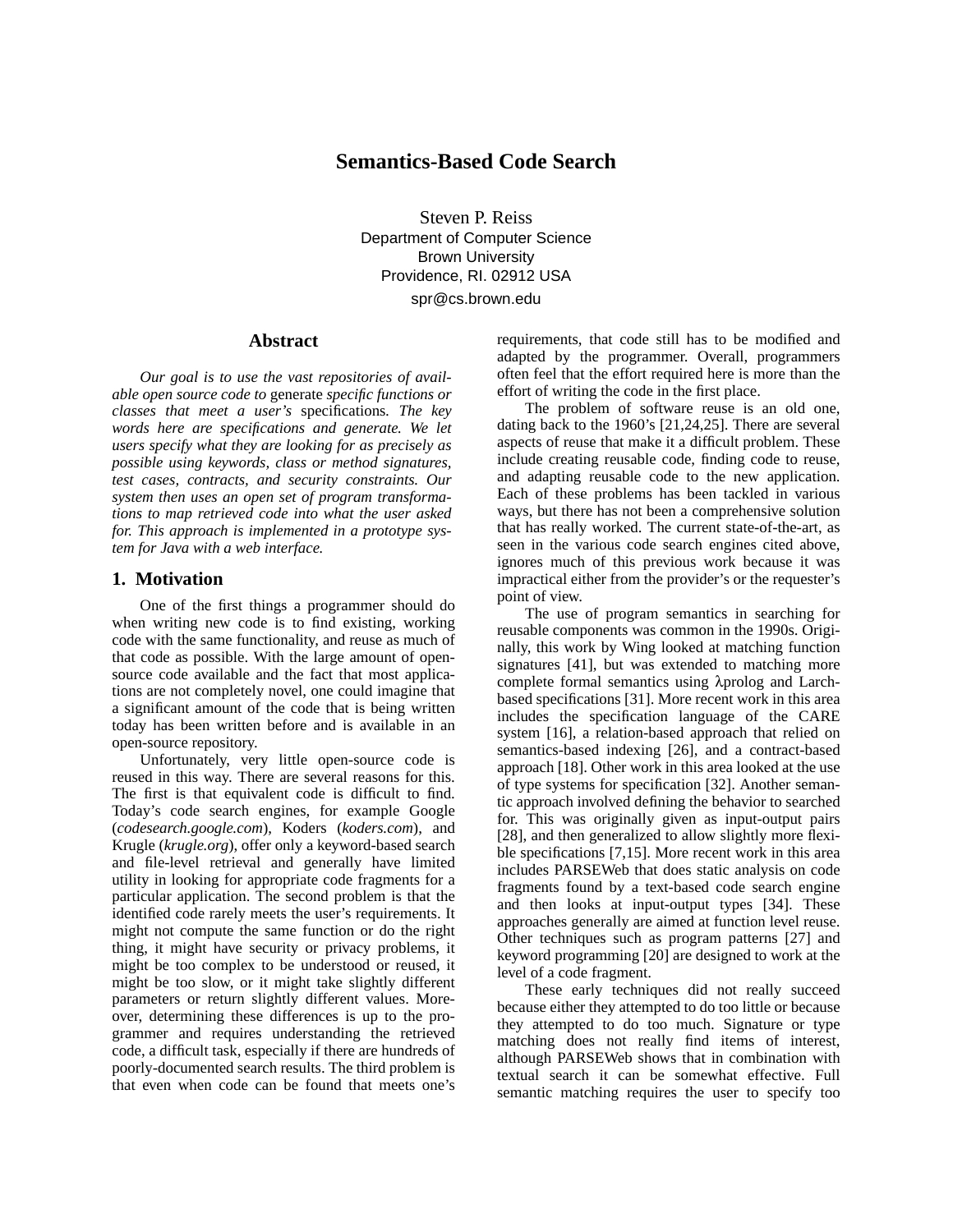# **Semantics-Based Code Search**

Steven P. Reiss Department of Computer Science Brown University Providence, RI. 02912 USA

spr@cs.brown.edu

### **Abstract**

*Our goal is to use the vast repositories of available open source code to* generate *specific functions or classes that meet a user's* specifications*. The key words here are specifications and generate. We let users specify what they are looking for as precisely as possible using keywords, class or method signatures, test cases, contracts, and security constraints. Our system then uses an open set of program transformations to map retrieved code into what the user asked for. This approach is implemented in a prototype system for Java with a web interface.*

### **1. Motivation**

One of the first things a programmer should do when writing new code is to find existing, working code with the same functionality, and reuse as much of that code as possible. With the large amount of opensource code available and the fact that most applications are not completely novel, one could imagine that a significant amount of the code that is being written today has been written before and is available in an open-source repository.

Unfortunately, very little open-source code is reused in this way. There are several reasons for this. The first is that equivalent code is difficult to find. Today's code search engines, for example Google (*codesearch.google.com*), Koders (*koders.com*), and Krugle (*krugle.org*), offer only a keyword-based search and file-level retrieval and generally have limited utility in looking for appropriate code fragments for a particular application. The second problem is that the identified code rarely meets the user's requirements. It might not compute the same function or do the right thing, it might have security or privacy problems, it might be too complex to be understood or reused, it might be too slow, or it might take slightly different parameters or return slightly different values. Moreover, determining these differences is up to the programmer and requires understanding the retrieved code, a difficult task, especially if there are hundreds of poorly-documented search results. The third problem is that even when code can be found that meets one's requirements, that code still has to be modified and adapted by the programmer. Overall, programmers often feel that the effort required here is more than the effort of writing the code in the first place.

The problem of software reuse is an old one, dating back to the 1960's [21,24,25]. There are several aspects of reuse that make it a difficult problem. These include creating reusable code, finding code to reuse, and adapting reusable code to the new application. Each of these problems has been tackled in various ways, but there has not been a comprehensive solution that has really worked. The current state-of-the-art, as seen in the various code search engines cited above, ignores much of this previous work because it was impractical either from the provider's or the requester's point of view.

The use of program semantics in searching for reusable components was common in the 1990s. Originally, this work by Wing looked at matching function signatures [41], but was extended to matching more complete formal semantics using λprolog and Larchbased specifications [31]. More recent work in this area includes the specification language of the CARE system [16], a relation-based approach that relied on semantics-based indexing [26], and a contract-based approach [18]. Other work in this area looked at the use of type systems for specification [32]. Another semantic approach involved defining the behavior to searched for. This was originally given as input-output pairs [28], and then generalized to allow slightly more flexible specifications [7,15]. More recent work in this area includes PARSEWeb that does static analysis on code fragments found by a text-based code search engine and then looks at input-output types [34]. These approaches generally are aimed at function level reuse. Other techniques such as program patterns [27] and keyword programming [20] are designed to work at the level of a code fragment.

These early techniques did not really succeed because either they attempted to do too little or because they attempted to do too much. Signature or type matching does not really find items of interest, although PARSEWeb shows that in combination with textual search it can be somewhat effective. Full semantic matching requires the user to specify too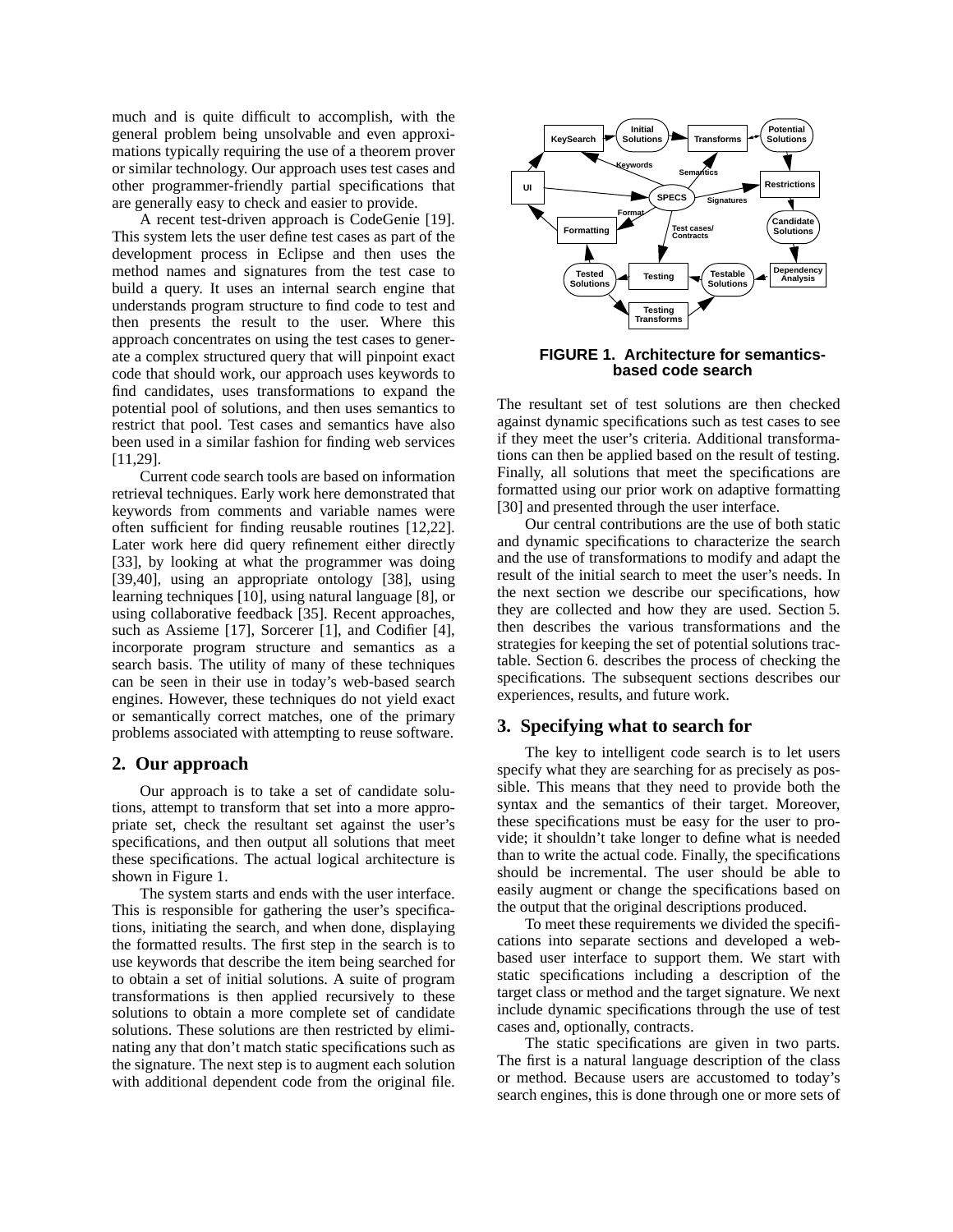much and is quite difficult to accomplish, with the general problem being unsolvable and even approximations typically requiring the use of a theorem prover or similar technology. Our approach uses test cases and other programmer-friendly partial specifications that are generally easy to check and easier to provide.

A recent test-driven approach is CodeGenie [19]. This system lets the user define test cases as part of the development process in Eclipse and then uses the method names and signatures from the test case to build a query. It uses an internal search engine that understands program structure to find code to test and then presents the result to the user. Where this approach concentrates on using the test cases to generate a complex structured query that will pinpoint exact code that should work, our approach uses keywords to find candidates, uses transformations to expand the potential pool of solutions, and then uses semantics to restrict that pool. Test cases and semantics have also been used in a similar fashion for finding web services [11,29].

Current code search tools are based on information retrieval techniques. Early work here demonstrated that keywords from comments and variable names were often sufficient for finding reusable routines [12,22]. Later work here did query refinement either directly [33], by looking at what the programmer was doing [39,40], using an appropriate ontology [38], using learning techniques [10], using natural language [8], or using collaborative feedback [35]. Recent approaches, such as Assieme [17], Sorcerer [1], and Codifier [4], incorporate program structure and semantics as a search basis. The utility of many of these techniques can be seen in their use in today's web-based search engines. However, these techniques do not yield exact or semantically correct matches, one of the primary problems associated with attempting to reuse software.

## **2. Our approach**

Our approach is to take a set of candidate solutions, attempt to transform that set into a more appropriate set, check the resultant set against the user's specifications, and then output all solutions that meet these specifications. The actual logical architecture is shown in Figure 1.

The system starts and ends with the user interface. This is responsible for gathering the user's specifications, initiating the search, and when done, displaying the formatted results. The first step in the search is to use keywords that describe the item being searched for to obtain a set of initial solutions. A suite of program transformations is then applied recursively to these solutions to obtain a more complete set of candidate solutions. These solutions are then restricted by eliminating any that don't match static specifications such as the signature. The next step is to augment each solution with additional dependent code from the original file.



**FIGURE 1. Architecture for semanticsbased code search**

The resultant set of test solutions are then checked against dynamic specifications such as test cases to see if they meet the user's criteria. Additional transformations can then be applied based on the result of testing. Finally, all solutions that meet the specifications are formatted using our prior work on adaptive formatting [30] and presented through the user interface.

Our central contributions are the use of both static and dynamic specifications to characterize the search and the use of transformations to modify and adapt the result of the initial search to meet the user's needs. In the next section we describe our specifications, how they are collected and how they are used. Section 5. then describes the various transformations and the strategies for keeping the set of potential solutions tractable. Section 6. describes the process of checking the specifications. The subsequent sections describes our experiences, results, and future work.

# **3. Specifying what to search for**

The key to intelligent code search is to let users specify what they are searching for as precisely as possible. This means that they need to provide both the syntax and the semantics of their target. Moreover, these specifications must be easy for the user to provide; it shouldn't take longer to define what is needed than to write the actual code. Finally, the specifications should be incremental. The user should be able to easily augment or change the specifications based on the output that the original descriptions produced.

To meet these requirements we divided the specifications into separate sections and developed a webbased user interface to support them. We start with static specifications including a description of the target class or method and the target signature. We next include dynamic specifications through the use of test cases and, optionally, contracts.

The static specifications are given in two parts. The first is a natural language description of the class or method. Because users are accustomed to today's search engines, this is done through one or more sets of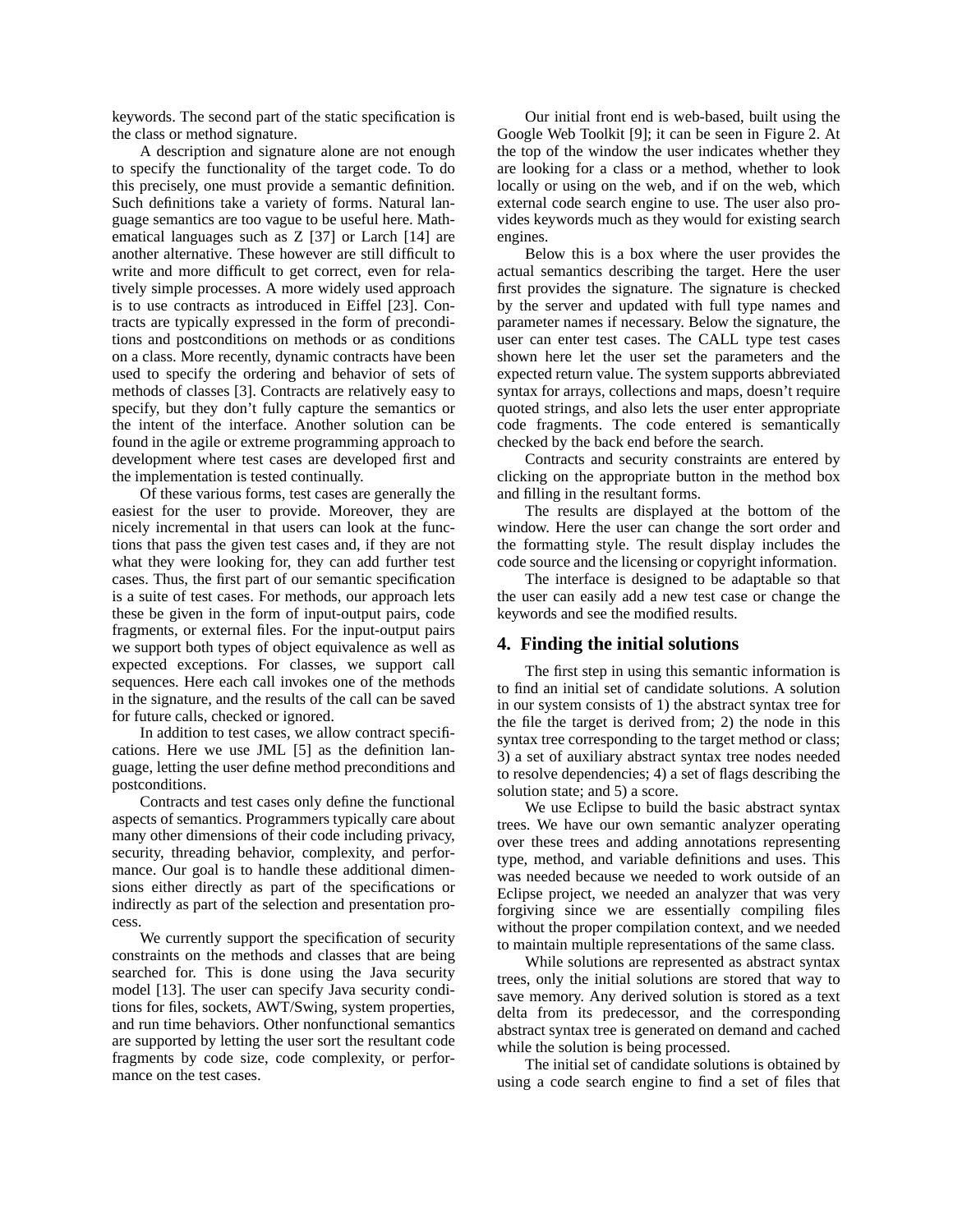keywords. The second part of the static specification is the class or method signature.

A description and signature alone are not enough to specify the functionality of the target code. To do this precisely, one must provide a semantic definition. Such definitions take a variety of forms. Natural language semantics are too vague to be useful here. Mathematical languages such as Z [37] or Larch [14] are another alternative. These however are still difficult to write and more difficult to get correct, even for relatively simple processes. A more widely used approach is to use contracts as introduced in Eiffel [23]. Contracts are typically expressed in the form of preconditions and postconditions on methods or as conditions on a class. More recently, dynamic contracts have been used to specify the ordering and behavior of sets of methods of classes [3]. Contracts are relatively easy to specify, but they don't fully capture the semantics or the intent of the interface. Another solution can be found in the agile or extreme programming approach to development where test cases are developed first and the implementation is tested continually.

Of these various forms, test cases are generally the easiest for the user to provide. Moreover, they are nicely incremental in that users can look at the functions that pass the given test cases and, if they are not what they were looking for, they can add further test cases. Thus, the first part of our semantic specification is a suite of test cases. For methods, our approach lets these be given in the form of input-output pairs, code fragments, or external files. For the input-output pairs we support both types of object equivalence as well as expected exceptions. For classes, we support call sequences. Here each call invokes one of the methods in the signature, and the results of the call can be saved for future calls, checked or ignored.

In addition to test cases, we allow contract specifications. Here we use JML [5] as the definition language, letting the user define method preconditions and postconditions.

Contracts and test cases only define the functional aspects of semantics. Programmers typically care about many other dimensions of their code including privacy, security, threading behavior, complexity, and performance. Our goal is to handle these additional dimensions either directly as part of the specifications or indirectly as part of the selection and presentation process.

We currently support the specification of security constraints on the methods and classes that are being searched for. This is done using the Java security model [13]. The user can specify Java security conditions for files, sockets, AWT/Swing, system properties, and run time behaviors. Other nonfunctional semantics are supported by letting the user sort the resultant code fragments by code size, code complexity, or performance on the test cases.

Our initial front end is web-based, built using the Google Web Toolkit [9]; it can be seen in Figure 2. At the top of the window the user indicates whether they are looking for a class or a method, whether to look locally or using on the web, and if on the web, which external code search engine to use. The user also provides keywords much as they would for existing search engines.

Below this is a box where the user provides the actual semantics describing the target. Here the user first provides the signature. The signature is checked by the server and updated with full type names and parameter names if necessary. Below the signature, the user can enter test cases. The CALL type test cases shown here let the user set the parameters and the expected return value. The system supports abbreviated syntax for arrays, collections and maps, doesn't require quoted strings, and also lets the user enter appropriate code fragments. The code entered is semantically checked by the back end before the search.

Contracts and security constraints are entered by clicking on the appropriate button in the method box and filling in the resultant forms.

The results are displayed at the bottom of the window. Here the user can change the sort order and the formatting style. The result display includes the code source and the licensing or copyright information.

The interface is designed to be adaptable so that the user can easily add a new test case or change the keywords and see the modified results.

### **4. Finding the initial solutions**

The first step in using this semantic information is to find an initial set of candidate solutions. A solution in our system consists of 1) the abstract syntax tree for the file the target is derived from; 2) the node in this syntax tree corresponding to the target method or class; 3) a set of auxiliary abstract syntax tree nodes needed to resolve dependencies; 4) a set of flags describing the solution state; and 5) a score.

We use Eclipse to build the basic abstract syntax trees. We have our own semantic analyzer operating over these trees and adding annotations representing type, method, and variable definitions and uses. This was needed because we needed to work outside of an Eclipse project, we needed an analyzer that was very forgiving since we are essentially compiling files without the proper compilation context, and we needed to maintain multiple representations of the same class.

While solutions are represented as abstract syntax trees, only the initial solutions are stored that way to save memory. Any derived solution is stored as a text delta from its predecessor, and the corresponding abstract syntax tree is generated on demand and cached while the solution is being processed.

The initial set of candidate solutions is obtained by using a code search engine to find a set of files that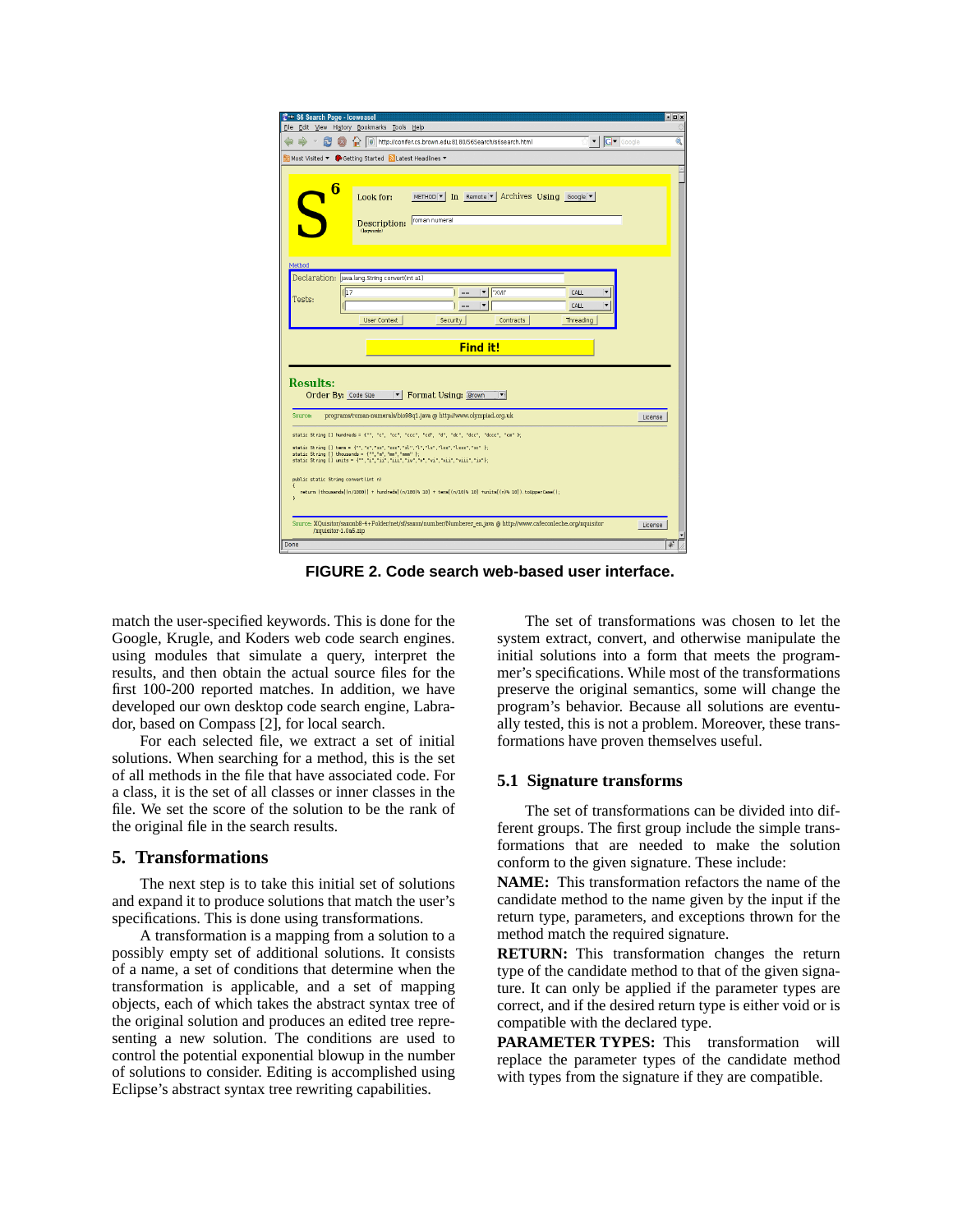| <b>C-M S6 Search Page - Iceweasel</b>                                                                                                                                                                                                                                                                                                                                                                                                                                             |                                                                                                                                         | $\blacksquare$ |  |  |  |  |  |  |  |  |
|-----------------------------------------------------------------------------------------------------------------------------------------------------------------------------------------------------------------------------------------------------------------------------------------------------------------------------------------------------------------------------------------------------------------------------------------------------------------------------------|-----------------------------------------------------------------------------------------------------------------------------------------|----------------|--|--|--|--|--|--|--|--|
| Eile                                                                                                                                                                                                                                                                                                                                                                                                                                                                              | Edit View History Bookmarks Tools Help                                                                                                  |                |  |  |  |  |  |  |  |  |
| 巼                                                                                                                                                                                                                                                                                                                                                                                                                                                                                 | $G$ $\bullet$ Google<br>http://conifer.cs.brown.edu:8180/S6Search/s6search.html<br>$\sim$<br>▼                                          | ø              |  |  |  |  |  |  |  |  |
|                                                                                                                                                                                                                                                                                                                                                                                                                                                                                   |                                                                                                                                         |                |  |  |  |  |  |  |  |  |
| Most Visited v Cetting Started N Latest Headlines v<br>6<br>In Remote  v   Archives Using Google v  <br>Look for:<br>METHOD <sup>V</sup><br>roman numeral<br>Description:<br>(keywords)<br>Method<br>Declaration: java.lang.String convert(int a1)<br>$(\overline{17})$<br><b>Exvir</b><br>▾<br>$\overline{\phantom{a}}$<br>$=$                                                                                                                                                   |                                                                                                                                         |                |  |  |  |  |  |  |  |  |
| Tests:                                                                                                                                                                                                                                                                                                                                                                                                                                                                            | CALL<br>CALL<br>$\overline{\phantom{a}}$<br>$=$                                                                                         |                |  |  |  |  |  |  |  |  |
|                                                                                                                                                                                                                                                                                                                                                                                                                                                                                   | <b>User Context</b><br>Contracts<br>Threading<br>Security                                                                               |                |  |  |  |  |  |  |  |  |
| <b>Results:</b>                                                                                                                                                                                                                                                                                                                                                                                                                                                                   | Find it!<br>Format Using: Brown<br>Order By: Code Size<br>$\vert \mathbf{v} \vert$<br>$\overline{\mathbf{v}}$                           |                |  |  |  |  |  |  |  |  |
| Source:                                                                                                                                                                                                                                                                                                                                                                                                                                                                           | programs/roman-numerals/bio98q1.java @ http://www.olympiad.org.uk                                                                       | License        |  |  |  |  |  |  |  |  |
| static String [] hundreds = {"", "c", "cc", "ccc", "cd", "d", "dc", "dcc", "dccc", "cn" };<br>static String [] tens = {", "x", "xx", "xxx", "xl", "l", "lx", "lxx", "xxx", "xc" };<br>static String [] thousands = {"", "n", "mm", "mm" };<br>static String [] units = {"","i","ii","iii","iv","v","vi","vii","viii","ix"};<br>public static String convert(int n)<br>return (thousands[(n/1000)] + hundreds[(n/100)% 10] + tens[(n/10)% 10] +units[(n)% 10]).toUpperCase();<br>Y |                                                                                                                                         |                |  |  |  |  |  |  |  |  |
|                                                                                                                                                                                                                                                                                                                                                                                                                                                                                   | Source: XQuisitor/saxonb8-4+Folder/net/sf/saxon/number/Numberer en.java @ http://www.cafeconleche.org/xquisitor<br>/xquisitor-1.0a5.zip | License        |  |  |  |  |  |  |  |  |
| Done                                                                                                                                                                                                                                                                                                                                                                                                                                                                              |                                                                                                                                         | $\mathbf{z}$   |  |  |  |  |  |  |  |  |

**FIGURE 2. Code search web-based user interface.**

match the user-specified keywords. This is done for the Google, Krugle, and Koders web code search engines. using modules that simulate a query, interpret the results, and then obtain the actual source files for the first 100-200 reported matches. In addition, we have developed our own desktop code search engine, Labrador, based on Compass [2], for local search.

For each selected file, we extract a set of initial solutions. When searching for a method, this is the set of all methods in the file that have associated code. For a class, it is the set of all classes or inner classes in the file. We set the score of the solution to be the rank of the original file in the search results.

# **5. Transformations**

The next step is to take this initial set of solutions and expand it to produce solutions that match the user's specifications. This is done using transformations.

A transformation is a mapping from a solution to a possibly empty set of additional solutions. It consists of a name, a set of conditions that determine when the transformation is applicable, and a set of mapping objects, each of which takes the abstract syntax tree of the original solution and produces an edited tree representing a new solution. The conditions are used to control the potential exponential blowup in the number of solutions to consider. Editing is accomplished using Eclipse's abstract syntax tree rewriting capabilities.

The set of transformations was chosen to let the system extract, convert, and otherwise manipulate the initial solutions into a form that meets the programmer's specifications. While most of the transformations preserve the original semantics, some will change the program's behavior. Because all solutions are eventually tested, this is not a problem. Moreover, these transformations have proven themselves useful.

# **5.1 Signature transforms**

The set of transformations can be divided into different groups. The first group include the simple transformations that are needed to make the solution conform to the given signature. These include:

**NAME:** This transformation refactors the name of the candidate method to the name given by the input if the return type, parameters, and exceptions thrown for the method match the required signature.

**RETURN:** This transformation changes the return type of the candidate method to that of the given signature. It can only be applied if the parameter types are correct, and if the desired return type is either void or is compatible with the declared type.

**PARAMETER TYPES:** This transformation will replace the parameter types of the candidate method with types from the signature if they are compatible.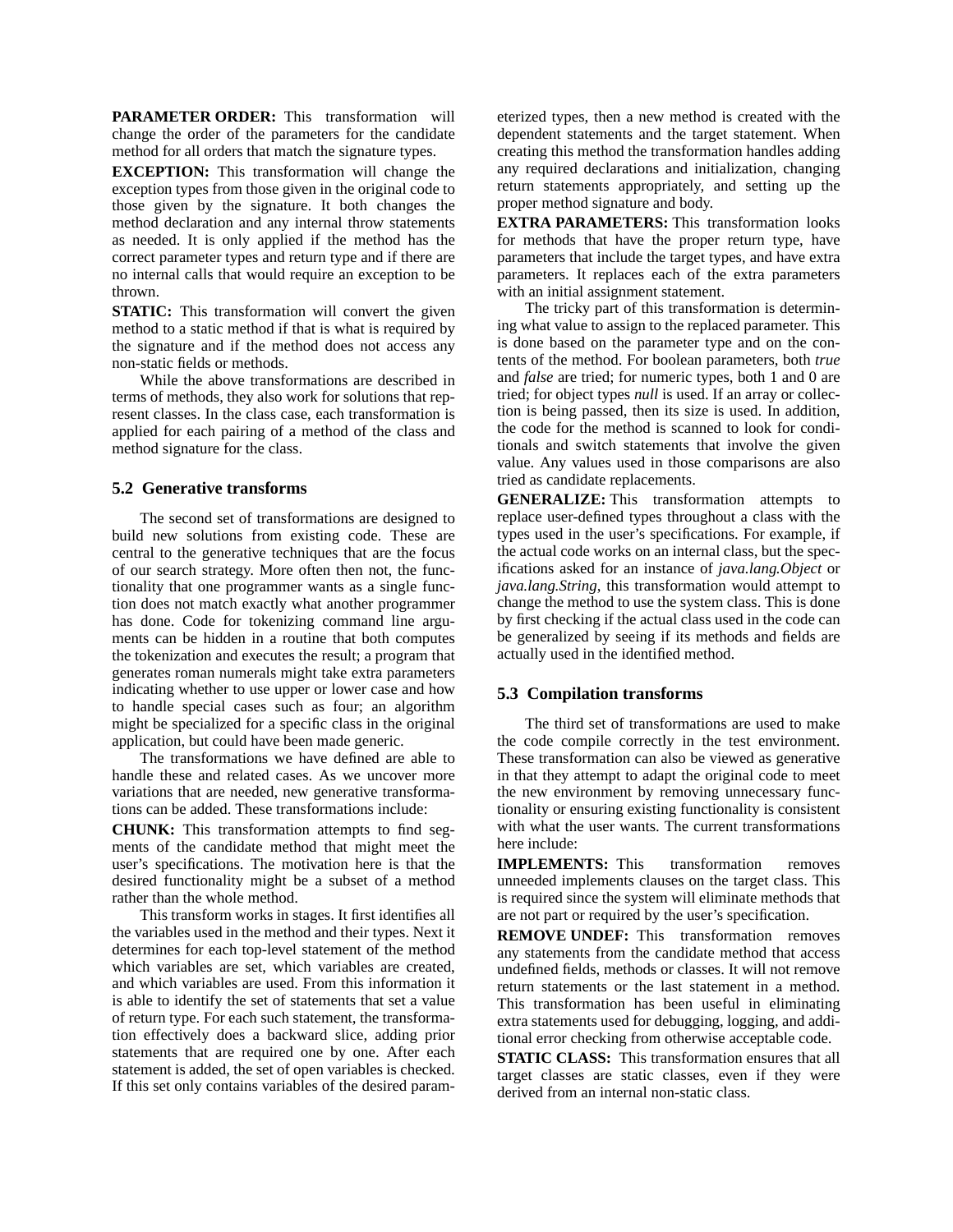**PARAMETER ORDER:** This transformation will change the order of the parameters for the candidate method for all orders that match the signature types.

**EXCEPTION:** This transformation will change the exception types from those given in the original code to those given by the signature. It both changes the method declaration and any internal throw statements as needed. It is only applied if the method has the correct parameter types and return type and if there are no internal calls that would require an exception to be thrown.

**STATIC:** This transformation will convert the given method to a static method if that is what is required by the signature and if the method does not access any non-static fields or methods.

While the above transformations are described in terms of methods, they also work for solutions that represent classes. In the class case, each transformation is applied for each pairing of a method of the class and method signature for the class.

# **5.2 Generative transforms**

The second set of transformations are designed to build new solutions from existing code. These are central to the generative techniques that are the focus of our search strategy. More often then not, the functionality that one programmer wants as a single function does not match exactly what another programmer has done. Code for tokenizing command line arguments can be hidden in a routine that both computes the tokenization and executes the result; a program that generates roman numerals might take extra parameters indicating whether to use upper or lower case and how to handle special cases such as four; an algorithm might be specialized for a specific class in the original application, but could have been made generic.

The transformations we have defined are able to handle these and related cases. As we uncover more variations that are needed, new generative transformations can be added. These transformations include:

**CHUNK:** This transformation attempts to find segments of the candidate method that might meet the user's specifications. The motivation here is that the desired functionality might be a subset of a method rather than the whole method.

This transform works in stages. It first identifies all the variables used in the method and their types. Next it determines for each top-level statement of the method which variables are set, which variables are created, and which variables are used. From this information it is able to identify the set of statements that set a value of return type. For each such statement, the transformation effectively does a backward slice, adding prior statements that are required one by one. After each statement is added, the set of open variables is checked. If this set only contains variables of the desired parameterized types, then a new method is created with the dependent statements and the target statement. When creating this method the transformation handles adding any required declarations and initialization, changing return statements appropriately, and setting up the proper method signature and body.

**EXTRA PARAMETERS:** This transformation looks for methods that have the proper return type, have parameters that include the target types, and have extra parameters. It replaces each of the extra parameters with an initial assignment statement.

The tricky part of this transformation is determining what value to assign to the replaced parameter. This is done based on the parameter type and on the contents of the method. For boolean parameters, both *true* and *false* are tried; for numeric types, both 1 and 0 are tried; for object types *null* is used. If an array or collection is being passed, then its size is used. In addition, the code for the method is scanned to look for conditionals and switch statements that involve the given value. Any values used in those comparisons are also tried as candidate replacements.

**GENERALIZE:** This transformation attempts to replace user-defined types throughout a class with the types used in the user's specifications. For example, if the actual code works on an internal class, but the specifications asked for an instance of *java.lang.Object* or *java.lang.String*, this transformation would attempt to change the method to use the system class. This is done by first checking if the actual class used in the code can be generalized by seeing if its methods and fields are actually used in the identified method.

# **5.3 Compilation transforms**

The third set of transformations are used to make the code compile correctly in the test environment. These transformation can also be viewed as generative in that they attempt to adapt the original code to meet the new environment by removing unnecessary functionality or ensuring existing functionality is consistent with what the user wants. The current transformations here include:

**IMPLEMENTS:** This transformation removes unneeded implements clauses on the target class. This is required since the system will eliminate methods that are not part or required by the user's specification.

**REMOVE UNDEF:** This transformation removes any statements from the candidate method that access undefined fields, methods or classes. It will not remove return statements or the last statement in a method. This transformation has been useful in eliminating extra statements used for debugging, logging, and additional error checking from otherwise acceptable code.

**STATIC CLASS:** This transformation ensures that all target classes are static classes, even if they were derived from an internal non-static class.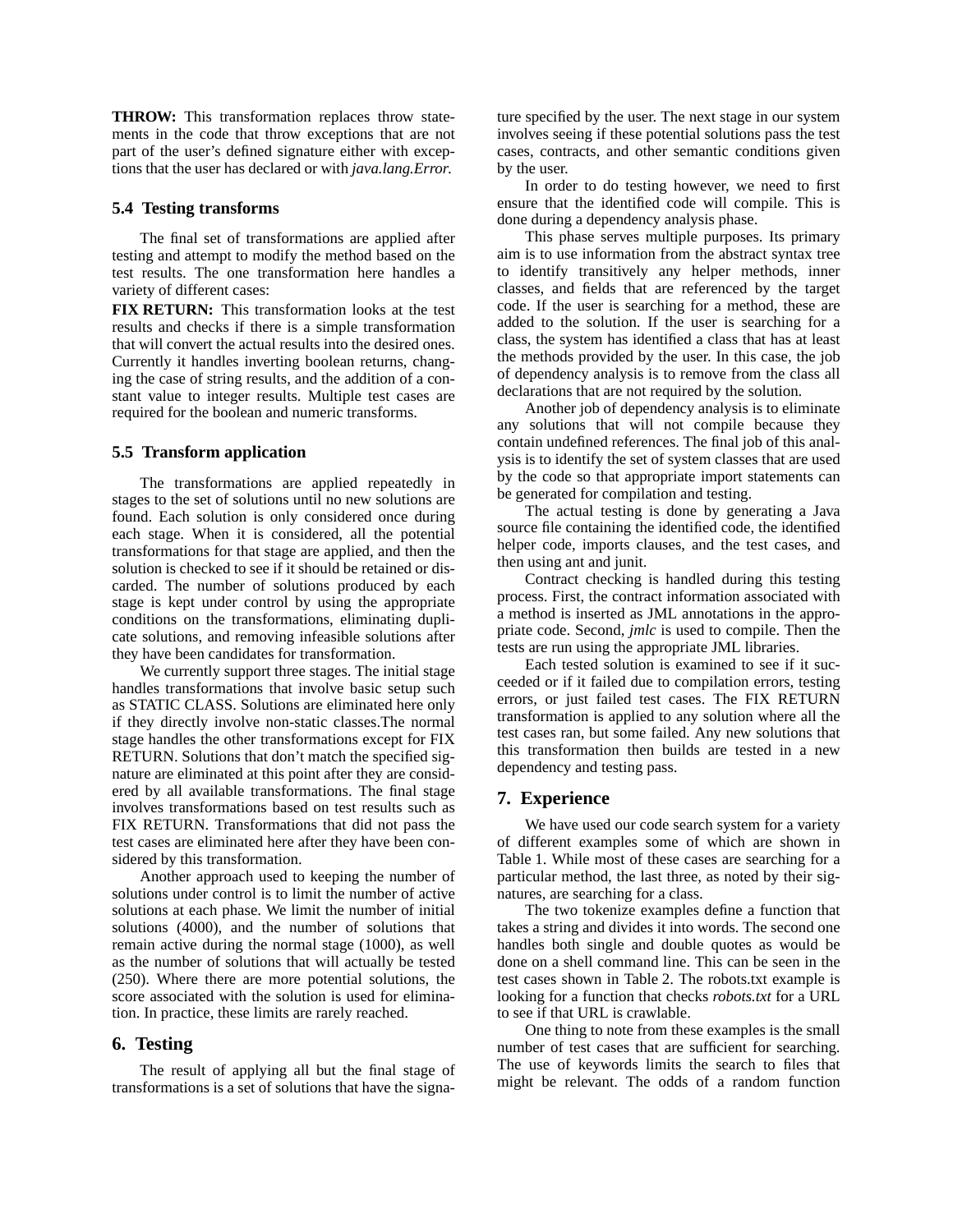**THROW:** This transformation replaces throw statements in the code that throw exceptions that are not part of the user's defined signature either with exceptions that the user has declared or with *java.lang.Error*.

#### **5.4 Testing transforms**

The final set of transformations are applied after testing and attempt to modify the method based on the test results. The one transformation here handles a variety of different cases:

**FIX RETURN:** This transformation looks at the test results and checks if there is a simple transformation that will convert the actual results into the desired ones. Currently it handles inverting boolean returns, changing the case of string results, and the addition of a constant value to integer results. Multiple test cases are required for the boolean and numeric transforms.

# **5.5 Transform application**

The transformations are applied repeatedly in stages to the set of solutions until no new solutions are found. Each solution is only considered once during each stage. When it is considered, all the potential transformations for that stage are applied, and then the solution is checked to see if it should be retained or discarded. The number of solutions produced by each stage is kept under control by using the appropriate conditions on the transformations, eliminating duplicate solutions, and removing infeasible solutions after they have been candidates for transformation.

We currently support three stages. The initial stage handles transformations that involve basic setup such as STATIC CLASS. Solutions are eliminated here only if they directly involve non-static classes.The normal stage handles the other transformations except for FIX RETURN. Solutions that don't match the specified signature are eliminated at this point after they are considered by all available transformations. The final stage involves transformations based on test results such as FIX RETURN. Transformations that did not pass the test cases are eliminated here after they have been considered by this transformation.

Another approach used to keeping the number of solutions under control is to limit the number of active solutions at each phase. We limit the number of initial solutions (4000), and the number of solutions that remain active during the normal stage (1000), as well as the number of solutions that will actually be tested (250). Where there are more potential solutions, the score associated with the solution is used for elimination. In practice, these limits are rarely reached.

# **6. Testing**

The result of applying all but the final stage of transformations is a set of solutions that have the signa-

ture specified by the user. The next stage in our system involves seeing if these potential solutions pass the test cases, contracts, and other semantic conditions given by the user.

In order to do testing however, we need to first ensure that the identified code will compile. This is done during a dependency analysis phase.

This phase serves multiple purposes. Its primary aim is to use information from the abstract syntax tree to identify transitively any helper methods, inner classes, and fields that are referenced by the target code. If the user is searching for a method, these are added to the solution. If the user is searching for a class, the system has identified a class that has at least the methods provided by the user. In this case, the job of dependency analysis is to remove from the class all declarations that are not required by the solution.

Another job of dependency analysis is to eliminate any solutions that will not compile because they contain undefined references. The final job of this analysis is to identify the set of system classes that are used by the code so that appropriate import statements can be generated for compilation and testing.

The actual testing is done by generating a Java source file containing the identified code, the identified helper code, imports clauses, and the test cases, and then using ant and junit.

Contract checking is handled during this testing process. First, the contract information associated with a method is inserted as JML annotations in the appropriate code. Second, *jmlc* is used to compile. Then the tests are run using the appropriate JML libraries.

Each tested solution is examined to see if it succeeded or if it failed due to compilation errors, testing errors, or just failed test cases. The FIX RETURN transformation is applied to any solution where all the test cases ran, but some failed. Any new solutions that this transformation then builds are tested in a new dependency and testing pass.

# **7. Experience**

We have used our code search system for a variety of different examples some of which are shown in Table 1. While most of these cases are searching for a particular method, the last three, as noted by their signatures, are searching for a class.

The two tokenize examples define a function that takes a string and divides it into words. The second one handles both single and double quotes as would be done on a shell command line. This can be seen in the test cases shown in Table 2. The robots.txt example is looking for a function that checks *robots.txt* for a URL to see if that URL is crawlable.

One thing to note from these examples is the small number of test cases that are sufficient for searching. The use of keywords limits the search to files that might be relevant. The odds of a random function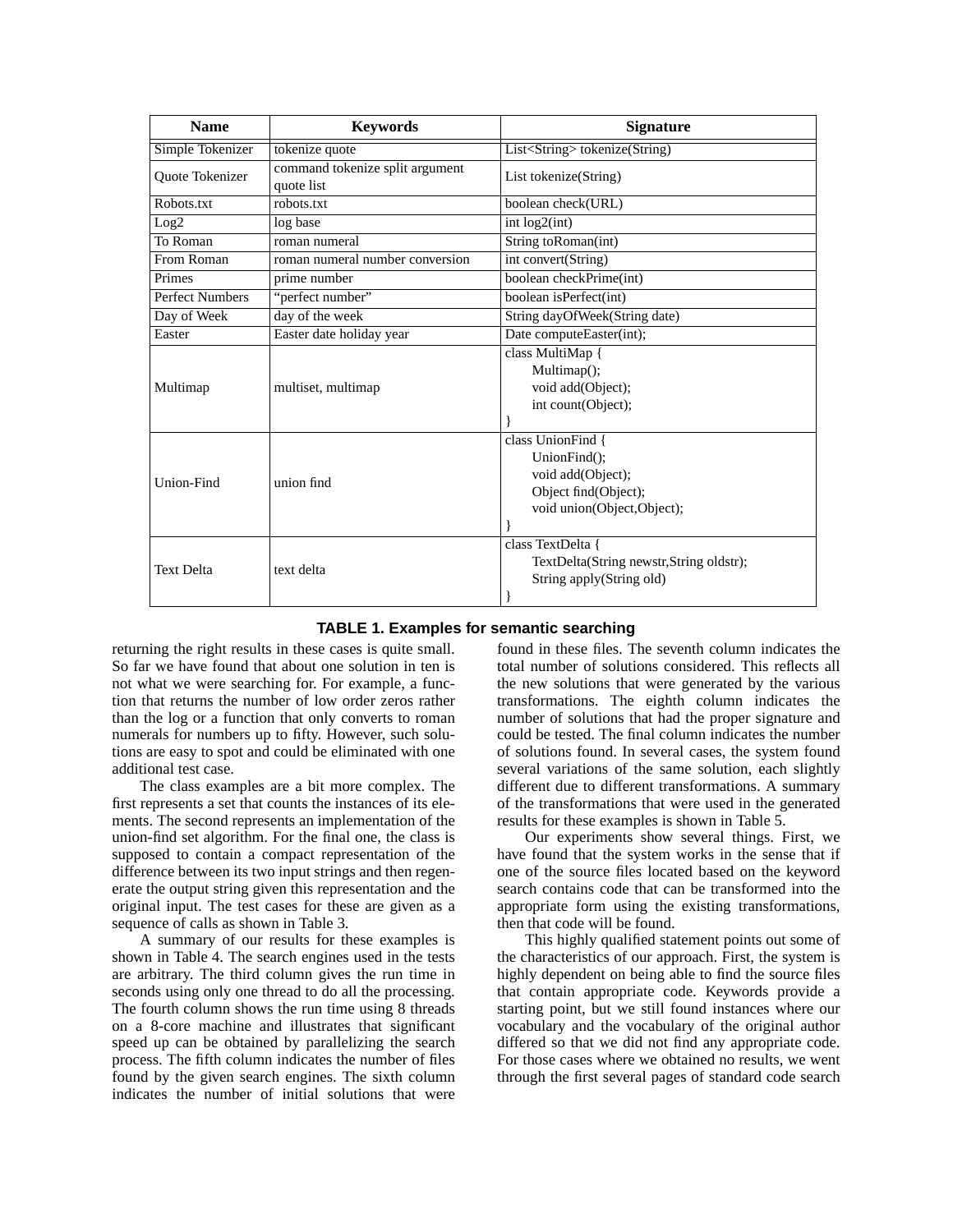| <b>Name</b>            | <b>Keywords</b>                               | <b>Signature</b>                                                                                             |
|------------------------|-----------------------------------------------|--------------------------------------------------------------------------------------------------------------|
| Simple Tokenizer       | tokenize quote                                | List <string>tokenize(String)</string>                                                                       |
| <b>Ouote Tokenizer</b> | command tokenize split argument<br>quote list | List tokenize (String)                                                                                       |
| Robots.txt             | robots.txt                                    | boolean check(URL)                                                                                           |
| Log <sub>2</sub>       | log base                                      | int $log2(int)$                                                                                              |
| To Roman               | roman numeral                                 | String to Roman(int)                                                                                         |
| From Roman             | roman numeral number conversion               | int convert(String)                                                                                          |
| Primes                 | prime number                                  | boolean checkPrime(int)                                                                                      |
| <b>Perfect Numbers</b> | "perfect number"                              | boolean isPerfect(int)                                                                                       |
| Day of Week            | day of the week                               | String dayOfWeek(String date)                                                                                |
| Easter                 | Easter date holiday year                      | Date computeEaster(int);                                                                                     |
| Multimap               | multiset, multimap                            | class MultiMap {<br>Multimap();<br>void add(Object);<br>int count(Object);                                   |
| <b>Union-Find</b>      | union find                                    | class UnionFind {<br>UnionFind();<br>void add(Object);<br>Object find(Object);<br>void union(Object,Object); |
| <b>Text Delta</b>      | text delta                                    | class TextDelta {<br>TextDelta(String newstr,String oldstr);<br>String apply(String old)                     |

### **TABLE 1. Examples for semantic searching**

returning the right results in these cases is quite small. So far we have found that about one solution in ten is not what we were searching for. For example, a function that returns the number of low order zeros rather than the log or a function that only converts to roman numerals for numbers up to fifty. However, such solutions are easy to spot and could be eliminated with one additional test case.

The class examples are a bit more complex. The first represents a set that counts the instances of its elements. The second represents an implementation of the union-find set algorithm. For the final one, the class is supposed to contain a compact representation of the difference between its two input strings and then regenerate the output string given this representation and the original input. The test cases for these are given as a sequence of calls as shown in Table 3.

A summary of our results for these examples is shown in Table 4. The search engines used in the tests are arbitrary. The third column gives the run time in seconds using only one thread to do all the processing. The fourth column shows the run time using 8 threads on a 8-core machine and illustrates that significant speed up can be obtained by parallelizing the search process. The fifth column indicates the number of files found by the given search engines. The sixth column indicates the number of initial solutions that were

found in these files. The seventh column indicates the total number of solutions considered. This reflects all the new solutions that were generated by the various transformations. The eighth column indicates the number of solutions that had the proper signature and could be tested. The final column indicates the number of solutions found. In several cases, the system found several variations of the same solution, each slightly different due to different transformations. A summary of the transformations that were used in the generated results for these examples is shown in Table 5.

Our experiments show several things. First, we have found that the system works in the sense that if one of the source files located based on the keyword search contains code that can be transformed into the appropriate form using the existing transformations, then that code will be found.

This highly qualified statement points out some of the characteristics of our approach. First, the system is highly dependent on being able to find the source files that contain appropriate code. Keywords provide a starting point, but we still found instances where our vocabulary and the vocabulary of the original author differed so that we did not find any appropriate code. For those cases where we obtained no results, we went through the first several pages of standard code search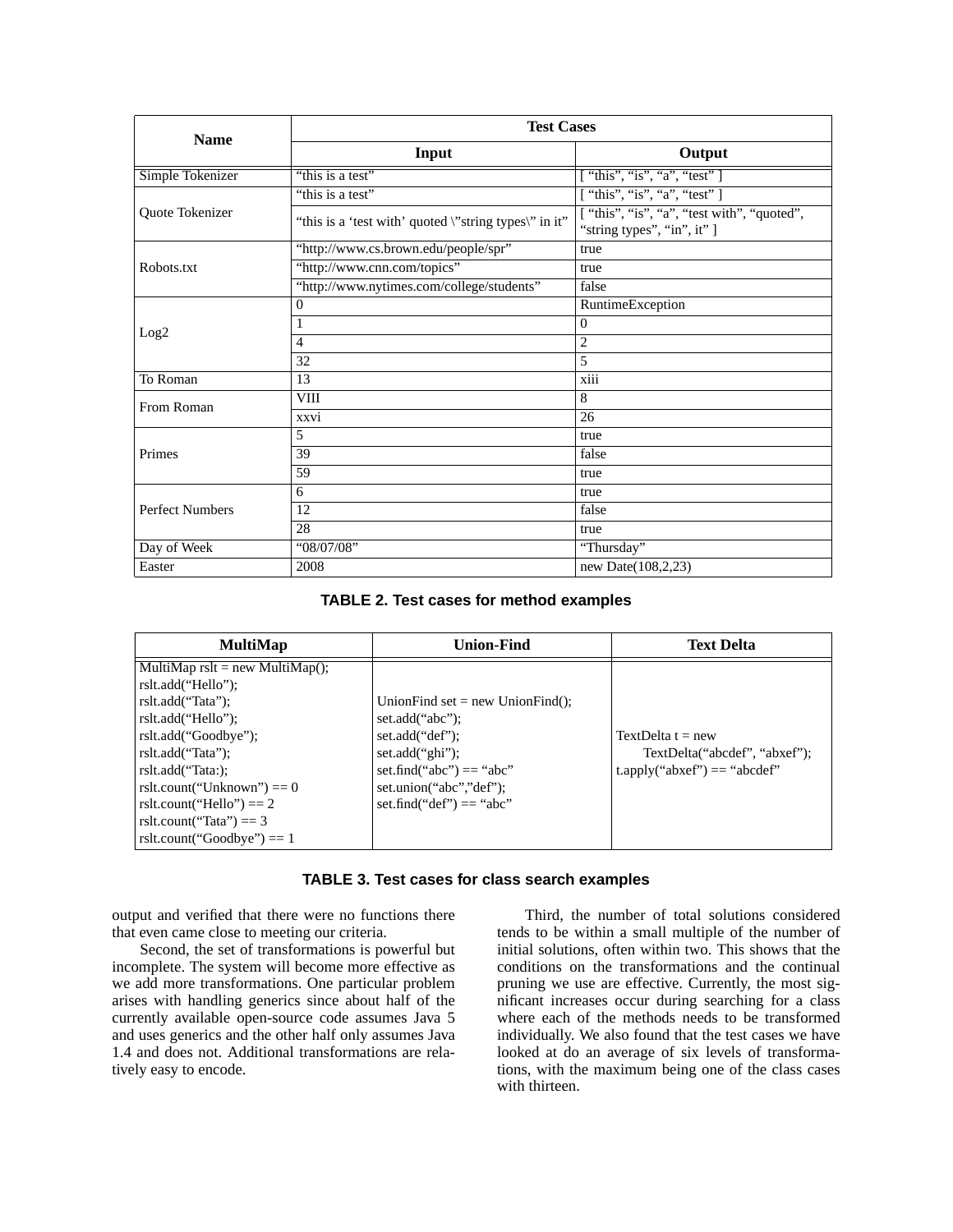| <b>Name</b>            | <b>Test Cases</b>                                     |                                                                           |  |  |  |  |  |  |  |
|------------------------|-------------------------------------------------------|---------------------------------------------------------------------------|--|--|--|--|--|--|--|
|                        | Input                                                 | Output                                                                    |  |  |  |  |  |  |  |
| Simple Tokenizer       | "this is a test"                                      | ["this", "is", "a", "test"]                                               |  |  |  |  |  |  |  |
|                        | "this is a test"                                      | [ "this", "is", "a", "test" ]                                             |  |  |  |  |  |  |  |
| Quote Tokenizer        | "this is a 'test with' quoted \"string types\" in it" | ["this", "is", "a", "test with", "quoted",<br>"string types", "in", it" ] |  |  |  |  |  |  |  |
|                        | "http://www.cs.brown.edu/people/spr"                  | true                                                                      |  |  |  |  |  |  |  |
| Robots.txt             | "http://www.cnn.com/topics"                           | true                                                                      |  |  |  |  |  |  |  |
|                        | "http://www.nytimes.com/college/students"             | false                                                                     |  |  |  |  |  |  |  |
|                        | $\Omega$                                              | RuntimeException                                                          |  |  |  |  |  |  |  |
|                        |                                                       | $\mathbf{0}$                                                              |  |  |  |  |  |  |  |
| Log2                   | 4                                                     | $\overline{c}$                                                            |  |  |  |  |  |  |  |
|                        | 32                                                    | 5                                                                         |  |  |  |  |  |  |  |
| To Roman               | 13                                                    | xiii                                                                      |  |  |  |  |  |  |  |
| From Roman             | <b>VIII</b>                                           | 8                                                                         |  |  |  |  |  |  |  |
|                        | xxvi                                                  | 26                                                                        |  |  |  |  |  |  |  |
|                        | 5                                                     | true                                                                      |  |  |  |  |  |  |  |
| Primes                 | 39                                                    | false                                                                     |  |  |  |  |  |  |  |
|                        | 59                                                    | true                                                                      |  |  |  |  |  |  |  |
|                        | 6                                                     | true                                                                      |  |  |  |  |  |  |  |
| <b>Perfect Numbers</b> | 12                                                    | false                                                                     |  |  |  |  |  |  |  |
|                        | 28                                                    | true                                                                      |  |  |  |  |  |  |  |
| Day of Week            | "08/07/08"                                            | "Thursday"                                                                |  |  |  |  |  |  |  |
| Easter                 | 2008                                                  | new Date(108,2,23)                                                        |  |  |  |  |  |  |  |

|  |  | TABLE 2. Test cases for method examples |  |
|--|--|-----------------------------------------|--|
|--|--|-----------------------------------------|--|

| <b>MultiMap</b>                 | <b>Union-Find</b>                    | <b>Text Delta</b>               |
|---------------------------------|--------------------------------------|---------------------------------|
| MultiMap rslt = new MultiMap(); |                                      |                                 |
| rslt.add("Hello");              |                                      |                                 |
| rslt.add("Tata");               | UnionFind set = new UnionFind $()$ ; |                                 |
| rslt.add("Hello");              | $set.add("abc")$ :                   |                                 |
| rslt.add("Goodbye");            | set.add('def');                      | TextDelta $t = new$             |
| rslt.add("Tata");               | set.add("ghi                         | TextDelta("abcdef", "abxef");   |
| rslt.add("Tata:);               | set.find("abc") $==$ "abc"           | $t. apply("abxef") == "abcdef"$ |
| rslt.count("Unknown") == 0      | set.union("abc","def");              |                                 |
| rslt.count("Hello") == 2        | set.find("def") $==$ "abc"           |                                 |
| rslt.count("Tata") == 3         |                                      |                                 |
| rslt.count("Goodbye") $= 1$     |                                      |                                 |

## **TABLE 3. Test cases for class search examples**

output and verified that there were no functions there that even came close to meeting our criteria.

Second, the set of transformations is powerful but incomplete. The system will become more effective as we add more transformations. One particular problem arises with handling generics since about half of the currently available open-source code assumes Java 5 and uses generics and the other half only assumes Java 1.4 and does not. Additional transformations are relatively easy to encode.

Third, the number of total solutions considered tends to be within a small multiple of the number of initial solutions, often within two. This shows that the conditions on the transformations and the continual pruning we use are effective. Currently, the most significant increases occur during searching for a class where each of the methods needs to be transformed individually. We also found that the test cases we have looked at do an average of six levels of transformations, with the maximum being one of the class cases with thirteen.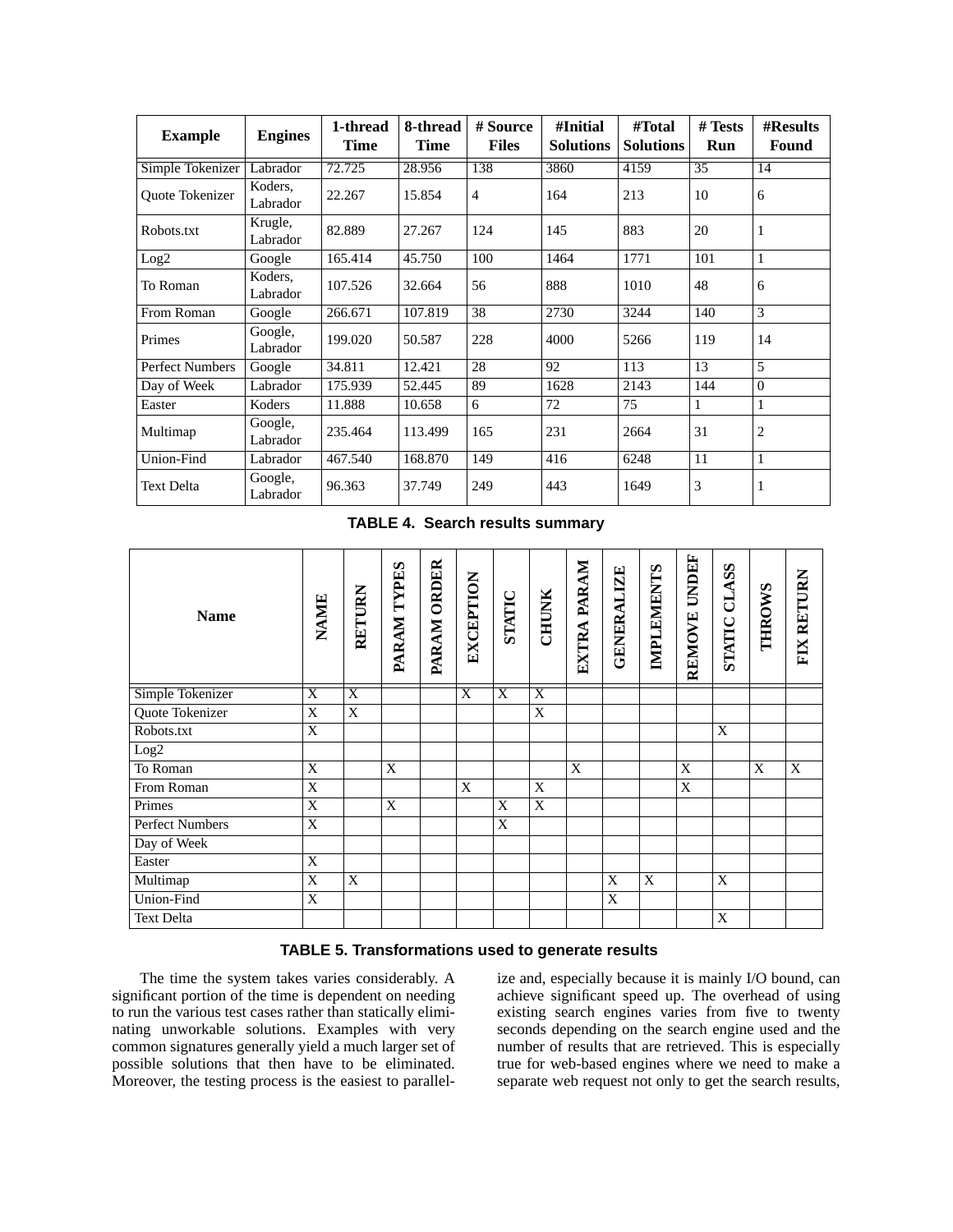| <b>Example</b>         | <b>Engines</b>      | 1-thread<br>Time | 8-thread<br>Time | # Source<br><b>Files</b> | #Initial<br><b>Solutions</b> | #Total<br><b>Solutions</b> | # Tests<br>Run  | $\#Results$<br><b>Found</b> |
|------------------------|---------------------|------------------|------------------|--------------------------|------------------------------|----------------------------|-----------------|-----------------------------|
| Simple Tokenizer       | Labrador            | 72.725           | 28.956           | 138                      | 3860                         | 4159                       | $\overline{35}$ | $\overline{14}$             |
| Quote Tokenizer        | Koders,<br>Labrador | 22.267           | 15.854           | $\overline{4}$           | 164                          | 213                        | 10              | 6                           |
| Robots.txt             | Krugle,<br>Labrador | 82.889           | 27.267           | 124                      | 145                          | 883                        | 20              | 1                           |
| Log2                   | Google              | 165.414          | 45.750           | 100                      | 1464                         | 1771                       | 101             | 1                           |
| To Roman               | Koders,<br>Labrador | 107.526          | 32.664           | 56                       | 888                          | 1010                       | 48              | 6                           |
| From Roman             | Google              | 266.671          | 107.819          | 38                       | 2730                         | 3244                       | 140             | 3                           |
| Primes                 | Google,<br>Labrador | 199.020          | 50.587           | 228                      | 4000                         | 5266                       | 119             | 14                          |
| <b>Perfect Numbers</b> | Google              | 34.811           | 12.421           | 28                       | 92                           | 113                        | 13              | 5                           |
| Day of Week            | Labrador            | 175.939          | 52.445           | 89                       | 1628                         | 2143                       | 144             | $\theta$                    |
| Easter                 | Koders              | 11.888           | 10.658           | 6                        | 72                           | 75                         | 1               | 1                           |
| Multimap               | Google,<br>Labrador | 235.464          | 113.499          | 165                      | 231                          | 2664                       | 31              | $\overline{c}$              |
| <b>Union-Find</b>      | Labrador            | 467.540          | 168.870          | 149                      | 416                          | 6248                       | 11              | 1                           |
| <b>Text Delta</b>      | Google,<br>Labrador | 96.363           | 37.749           | 249                      | 443                          | 1649                       | 3               | 1                           |

**TABLE 4. Search results summary**

| <b>Name</b>            | NAME                    | RETURN                  | PARAM TYPES             | PARAM ORDER | EXCEPTION               | STATIC                  | <b>CHUNK</b>            | EXTRA PARAM | <b>GENERALIZE</b> | IMPLEMENTS | REMOVE UNDEF | STATIC CLASS            | <b>THROWS</b> | FIX RETURN |
|------------------------|-------------------------|-------------------------|-------------------------|-------------|-------------------------|-------------------------|-------------------------|-------------|-------------------|------------|--------------|-------------------------|---------------|------------|
| Simple Tokenizer       | $\overline{X}$          | $\overline{\mathrm{X}}$ |                         |             | $\overline{\mathrm{X}}$ | $\overline{\mathrm{X}}$ | $\overline{\mathrm{X}}$ |             |                   |            |              |                         |               |            |
| Quote Tokenizer        | $\overline{\mathrm{x}}$ | $\overline{\mathrm{X}}$ |                         |             |                         |                         | $\overline{\mathrm{X}}$ |             |                   |            |              |                         |               |            |
| Robots.txt             | X                       |                         |                         |             |                         |                         |                         |             |                   |            |              | $\overline{\mathrm{X}}$ |               |            |
| Log2                   |                         |                         |                         |             |                         |                         |                         |             |                   |            |              |                         |               |            |
| To Roman               | X                       |                         | X                       |             |                         |                         |                         | X           |                   |            | X            |                         | X             | X          |
| From Roman             | X                       |                         |                         |             | X                       |                         | X                       |             |                   |            | X            |                         |               |            |
| Primes                 | $\overline{\text{X}}$   |                         | $\overline{\mathrm{X}}$ |             |                         | X                       | $\overline{\mathrm{X}}$ |             |                   |            |              |                         |               |            |
| <b>Perfect Numbers</b> | X                       |                         |                         |             |                         | X                       |                         |             |                   |            |              |                         |               |            |
| Day of Week            |                         |                         |                         |             |                         |                         |                         |             |                   |            |              |                         |               |            |
| Easter                 | X                       |                         |                         |             |                         |                         |                         |             |                   |            |              |                         |               |            |
| Multimap               | X                       | X                       |                         |             |                         |                         |                         |             | X                 | X          |              | X                       |               |            |
| Union-Find             | X                       |                         |                         |             |                         |                         |                         |             | X                 |            |              |                         |               |            |
| Text Delta             |                         |                         |                         |             |                         |                         |                         |             |                   |            |              | $\overline{\mathrm{X}}$ |               |            |

# **TABLE 5. Transformations used to generate results**

The time the system takes varies considerably. A significant portion of the time is dependent on needing to run the various test cases rather than statically eliminating unworkable solutions. Examples with very common signatures generally yield a much larger set of possible solutions that then have to be eliminated. Moreover, the testing process is the easiest to parallelize and, especially because it is mainly I/O bound, can achieve significant speed up. The overhead of using existing search engines varies from five to twenty seconds depending on the search engine used and the number of results that are retrieved. This is especially true for web-based engines where we need to make a separate web request not only to get the search results,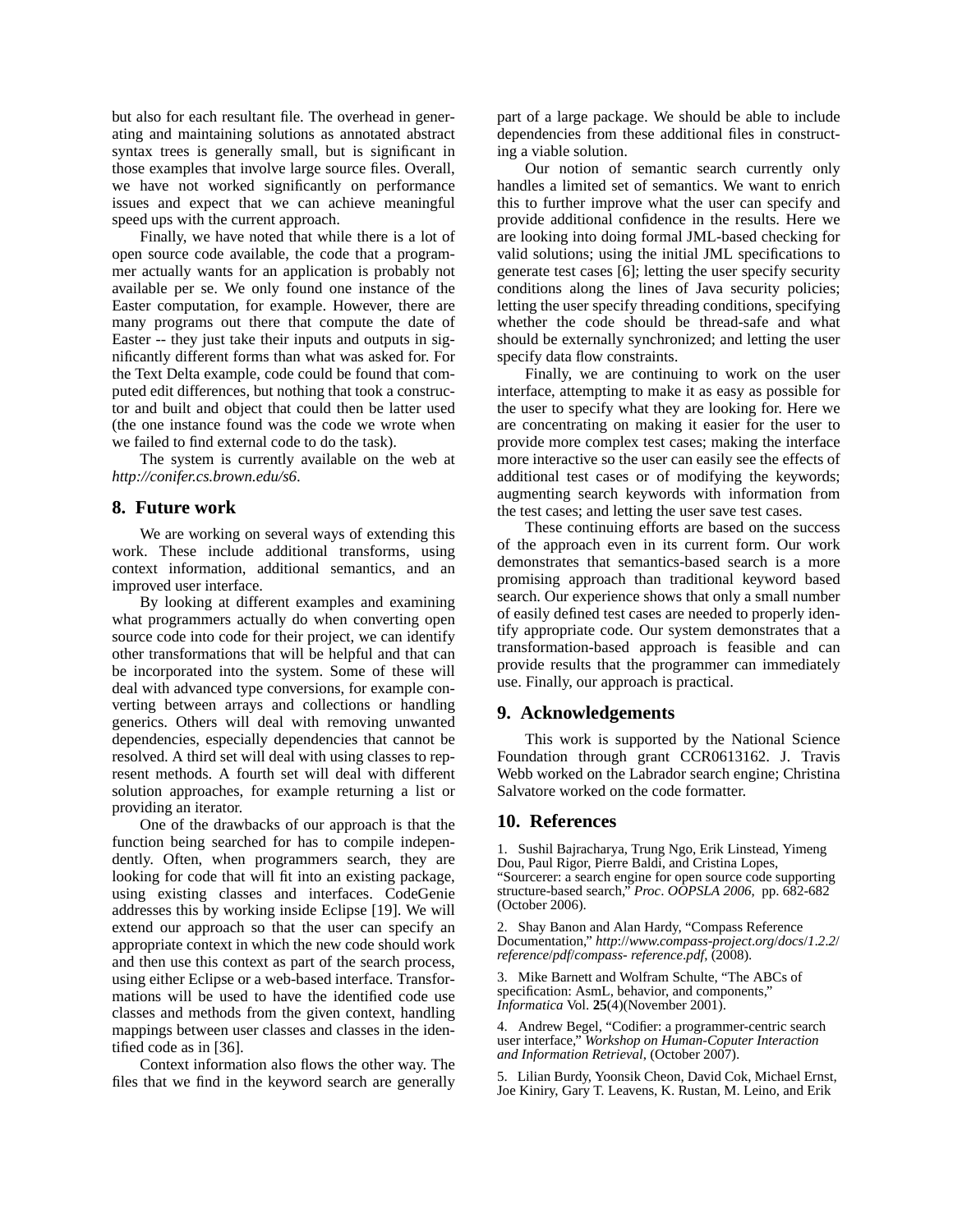but also for each resultant file. The overhead in generating and maintaining solutions as annotated abstract syntax trees is generally small, but is significant in those examples that involve large source files. Overall, we have not worked significantly on performance issues and expect that we can achieve meaningful speed ups with the current approach.

Finally, we have noted that while there is a lot of open source code available, the code that a programmer actually wants for an application is probably not available per se. We only found one instance of the Easter computation, for example. However, there are many programs out there that compute the date of Easter -- they just take their inputs and outputs in significantly different forms than what was asked for. For the Text Delta example, code could be found that computed edit differences, but nothing that took a constructor and built and object that could then be latter used (the one instance found was the code we wrote when we failed to find external code to do the task).

The system is currently available on the web at *http://conifer.cs.brown.edu/s6*.

# **8. Future work**

We are working on several ways of extending this work. These include additional transforms, using context information, additional semantics, and an improved user interface.

By looking at different examples and examining what programmers actually do when converting open source code into code for their project, we can identify other transformations that will be helpful and that can be incorporated into the system. Some of these will deal with advanced type conversions, for example converting between arrays and collections or handling generics. Others will deal with removing unwanted dependencies, especially dependencies that cannot be resolved. A third set will deal with using classes to represent methods. A fourth set will deal with different solution approaches, for example returning a list or providing an iterator.

One of the drawbacks of our approach is that the function being searched for has to compile independently. Often, when programmers search, they are looking for code that will fit into an existing package, using existing classes and interfaces. CodeGenie addresses this by working inside Eclipse [19]. We will extend our approach so that the user can specify an appropriate context in which the new code should work and then use this context as part of the search process, using either Eclipse or a web-based interface. Transformations will be used to have the identified code use classes and methods from the given context, handling mappings between user classes and classes in the identified code as in [36].

Context information also flows the other way. The files that we find in the keyword search are generally

part of a large package. We should be able to include dependencies from these additional files in constructing a viable solution.

Our notion of semantic search currently only handles a limited set of semantics. We want to enrich this to further improve what the user can specify and provide additional confidence in the results. Here we are looking into doing formal JML-based checking for valid solutions; using the initial JML specifications to generate test cases [6]; letting the user specify security conditions along the lines of Java security policies; letting the user specify threading conditions, specifying whether the code should be thread-safe and what should be externally synchronized; and letting the user specify data flow constraints.

Finally, we are continuing to work on the user interface, attempting to make it as easy as possible for the user to specify what they are looking for. Here we are concentrating on making it easier for the user to provide more complex test cases; making the interface more interactive so the user can easily see the effects of additional test cases or of modifying the keywords; augmenting search keywords with information from the test cases; and letting the user save test cases.

These continuing efforts are based on the success of the approach even in its current form. Our work demonstrates that semantics-based search is a more promising approach than traditional keyword based search. Our experience shows that only a small number of easily defined test cases are needed to properly identify appropriate code. Our system demonstrates that a transformation-based approach is feasible and can provide results that the programmer can immediately use. Finally, our approach is practical.

### **9. Acknowledgements**

This work is supported by the National Science Foundation through grant CCR0613162. J. Travis Webb worked on the Labrador search engine; Christina Salvatore worked on the code formatter.

### **10. References**

1. Sushil Bajracharya, Trung Ngo, Erik Linstead, Yimeng Dou, Paul Rigor, Pierre Baldi, and Cristina Lopes, "Sourcerer: a search engine for open source code supporting structure-based search," *Proc*. *OOPSLA 2006*, pp. 682-682 (October 2006).

2. Shay Banon and Alan Hardy, "Compass Reference Documentation," *http*://*www*.*compass*-*project*.*org*/*docs*/*1*.*2*.*2*/ *reference*/*pdf*/*compass*- *reference*.*pdf*, (2008).

3. Mike Barnett and Wolfram Schulte, "The ABCs of specification: AsmL, behavior, and components," *Informatica* Vol. **25**(4)(November 2001).

4. Andrew Begel, "Codifier: a programmer-centric search user interface," *Workshop on Human*-*Coputer Interaction and Information Retrieval*, (October 2007).

5. Lilian Burdy, Yoonsik Cheon, David Cok, Michael Ernst, Joe Kiniry, Gary T. Leavens, K. Rustan, M. Leino, and Erik